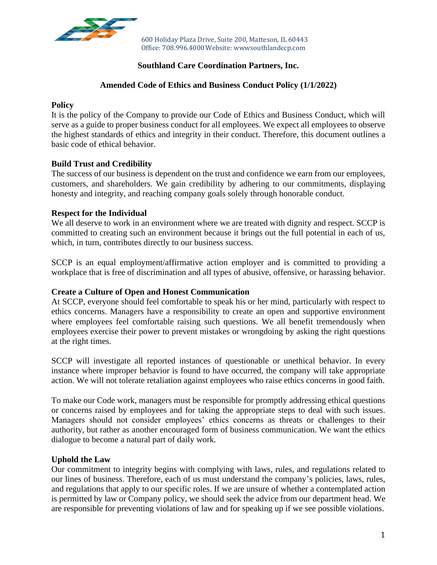

600 Holiday Plaza Drive, Suite 200, Matteson, IL 60443 Office: 708.996.4000Website: wwwsouthlandccp.com

# **Southland Care Coordination Partners, Inc.**

## **Amended Code of Ethics and Business Conduct Policy (1/1/2022)**

#### **Policy**

It is the policy of the Company to provide our Code of Ethics and Business Conduct, which will serve as a guide to proper business conduct for all employees. We expect all employees to observe the highest standards of ethics and integrity in their conduct. Therefore, this document outlines a basic code of ethical behavior.

## **Build Trust and Credibility**

The success of our business is dependent on the trust and confidence we earn from our employees, customers, and shareholders. We gain credibility by adhering to our commitments, displaying honesty and integrity, and reaching company goals solely through honorable conduct.

#### **Respect for the Individual**

We all deserve to work in an environment where we are treated with dignity and respect. SCCP is committed to creating such an environment because it brings out the full potential in each of us, which, in turn, contributes directly to our business success.

SCCP is an equal employment/affirmative action employer and is committed to providing a workplace that is free of discrimination and all types of abusive, offensive, or harassing behavior.

## **Create a Culture of Open and Honest Communication**

At SCCP, everyone should feel comfortable to speak his or her mind, particularly with respect to ethics concerns. Managers have a responsibility to create an open and supportive environment where employees feel comfortable raising such questions. We all benefit tremendously when employees exercise their power to prevent mistakes or wrongdoing by asking the right questions at the right times.

SCCP will investigate all reported instances of questionable or unethical behavior. In every instance where improper behavior is found to have occurred, the company will take appropriate action. We will not tolerate retaliation against employees who raise ethics concerns in good faith.

To make our Code work, managers must be responsible for promptly addressing ethical questions or concerns raised by employees and for taking the appropriate steps to deal with such issues. Managers should not consider employees' ethics concerns as threats or challenges to their authority, but rather as another encouraged form of business communication. We want the ethics dialogue to become a natural part of daily work.

## **Uphold the Law**

Our commitment to integrity begins with complying with laws, rules, and regulations related to our lines of business. Therefore, each of us must understand the company's policies, laws, rules, and regulations that apply to our specific roles. If we are unsure of whether a contemplated action is permitted by law or Company policy, we should seek the advice from our department head. We are responsible for preventing violations of law and for speaking up if we see possible violations.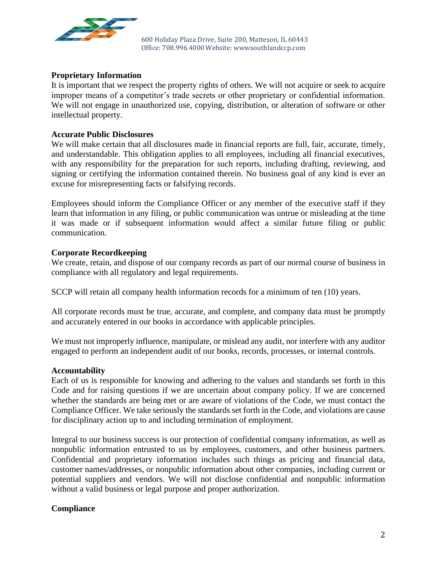

600 Holiday Plaza Drive, Suite 200, Matteson, IL 60443 Office: 708.996.4000Website: wwwsouthlandccp.com

## **Proprietary Information**

It is important that we respect the property rights of others. We will not acquire or seek to acquire improper means of a competitor's trade secrets or other proprietary or confidential information. We will not engage in unauthorized use, copying, distribution, or alteration of software or other intellectual property.

#### **Accurate Public Disclosures**

We will make certain that all disclosures made in financial reports are full, fair, accurate, timely, and understandable. This obligation applies to all employees, including all financial executives, with any responsibility for the preparation for such reports, including drafting, reviewing, and signing or certifying the information contained therein. No business goal of any kind is ever an excuse for misrepresenting facts or falsifying records.

Employees should inform the Compliance Officer or any member of the executive staff if they learn that information in any filing, or public communication was untrue or misleading at the time it was made or if subsequent information would affect a similar future filing or public communication.

#### **Corporate Recordkeeping**

We create, retain, and dispose of our company records as part of our normal course of business in compliance with all regulatory and legal requirements.

SCCP will retain all company health information records for a minimum of ten (10) years.

All corporate records must be true, accurate, and complete, and company data must be promptly and accurately entered in our books in accordance with applicable principles.

We must not improperly influence, manipulate, or mislead any audit, nor interfere with any auditor engaged to perform an independent audit of our books, records, processes, or internal controls.

#### **Accountability**

Each of us is responsible for knowing and adhering to the values and standards set forth in this Code and for raising questions if we are uncertain about company policy. If we are concerned whether the standards are being met or are aware of violations of the Code, we must contact the Compliance Officer. We take seriously the standards set forth in the Code, and violations are cause for disciplinary action up to and including termination of employment.

Integral to our business success is our protection of confidential company information, as well as nonpublic information entrusted to us by employees, customers, and other business partners. Confidential and proprietary information includes such things as pricing and financial data, customer names/addresses, or nonpublic information about other companies, including current or potential suppliers and vendors. We will not disclose confidential and nonpublic information without a valid business or legal purpose and proper authorization.

## **Compliance**